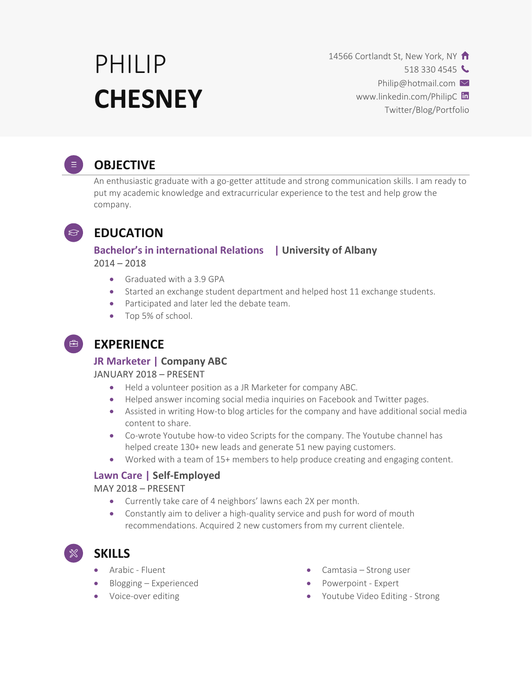# PHILIP **CHESNEY**

14566 Cortlandt St, New York, NY

518 330 4545

Philip@hotmail.com  $\vee$ 

www.linkedin.com/PhilipC in

Twitter/Blog/Portfolio



# **OBJECTIVE**

An enthusiastic graduate with a go-getter attitude and strong communication skills. I am ready to put my academic knowledge and extracurricular experience to the test and help grow the company.



# **EDUCATION**

### **Bachelor's in international Relations | University of Albany**  $2014 - 2018$

- Graduated with a 3.9 GPA
- Started an exchange student department and helped host 11 exchange students.
- Participated and later led the debate team.
- Top 5% of school.

# **EXPERIENCE**

### **JR Marketer | Company ABC**

#### JANUARY 2018 – PRESENT

- Held a volunteer position as a JR Marketer for company ABC.
- Helped answer incoming social media inquiries on Facebook and Twitter pages.
- Assisted in writing How-to blog articles for the company and have additional social media content to share.
- Co-wrote Youtube how-to video Scripts for the company. The Youtube channel has helped create 130+ new leads and generate 51 new paying customers.
- Worked with a team of 15+ members to help produce creating and engaging content.

#### **Lawn Care | Self-Employed**

#### MAY 2018 – PRESENT

- Currently take care of 4 neighbors' lawns each 2X per month.
- Constantly aim to deliver a high-quality service and push for word of mouth recommendations. Acquired 2 new customers from my current clientele.

• Arabic - Fluent

**SKILLS**

- Blogging Experienced
- Voice-over editing
- Camtasia Strong user
- Powerpoint Expert
- Youtube Video Editing Strong